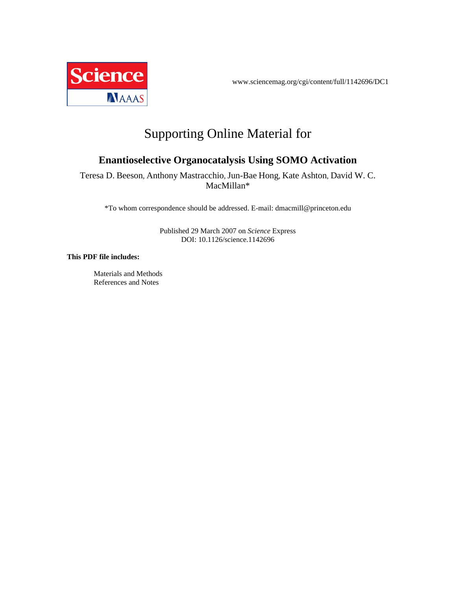

www.sciencemag.org/cgi/content/full/1142696/DC1

# Supporting Online Material for

## **Enantioselective Organocatalysis Using SOMO Activation**

Teresa D. Beeson, Anthony Mastracchio, Jun-Bae Hong, Kate Ashton, David W. C. MacMillan\*

\*To whom correspondence should be addressed. E-mail: dmacmill@princeton.edu

Published 29 March 2007 on *Science* Express DOI: 10.1126/science.1142696

#### **This PDF file includes:**

Materials and Methods References and Notes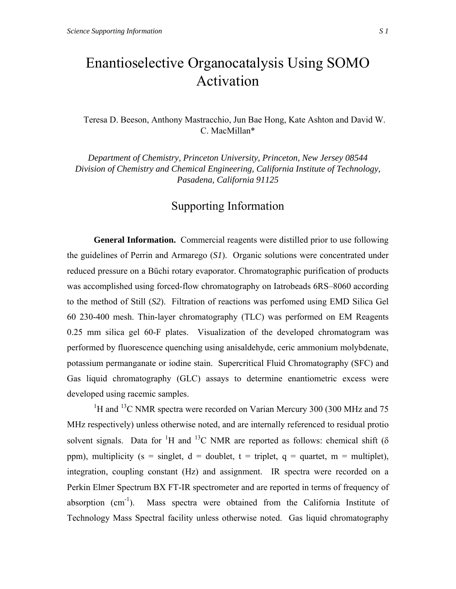# Enantioselective Organocatalysis Using SOMO Activation

Teresa D. Beeson, Anthony Mastracchio, Jun Bae Hong, Kate Ashton and David W. C. MacMillan\*

*Department of Chemistry, Princeton University, Princeton, New Jersey 08544 Division of Chemistry and Chemical Engineering, California Institute of Technology, Pasadena, California 91125* 

## Supporting Information

**General Information.** Commercial reagents were distilled prior to use following the guidelines of Perrin and Armarego (*S1*). Organic solutions were concentrated under reduced pressure on a Büchi rotary evaporator. Chromatographic purification of products was accomplished using forced-flow chromatography on Iatrobeads 6RS–8060 according to the method of Still (*S2*). Filtration of reactions was perfomed using EMD Silica Gel 60 230-400 mesh. Thin-layer chromatography (TLC) was performed on EM Reagents 0.25 mm silica gel 60-F plates. Visualization of the developed chromatogram was performed by fluorescence quenching using anisaldehyde, ceric ammonium molybdenate, potassium permanganate or iodine stain. Supercritical Fluid Chromatography (SFC) and Gas liquid chromatography (GLC) assays to determine enantiometric excess were developed using racemic samples.

<sup>1</sup>H and <sup>13</sup>C NMR spectra were recorded on Varian Mercury 300 (300 MHz and 75) MHz respectively) unless otherwise noted, and are internally referenced to residual protio solvent signals. Data for <sup>1</sup>H and <sup>13</sup>C NMR are reported as follows: chemical shift ( $\delta$ ppm), multiplicity (s = singlet,  $d =$  doublet, t = triplet, q = quartet, m = multiplet), integration, coupling constant (Hz) and assignment. IR spectra were recorded on a Perkin Elmer Spectrum BX FT-IR spectrometer and are reported in terms of frequency of absorption (cm-1). Mass spectra were obtained from the California Institute of Technology Mass Spectral facility unless otherwise noted. Gas liquid chromatography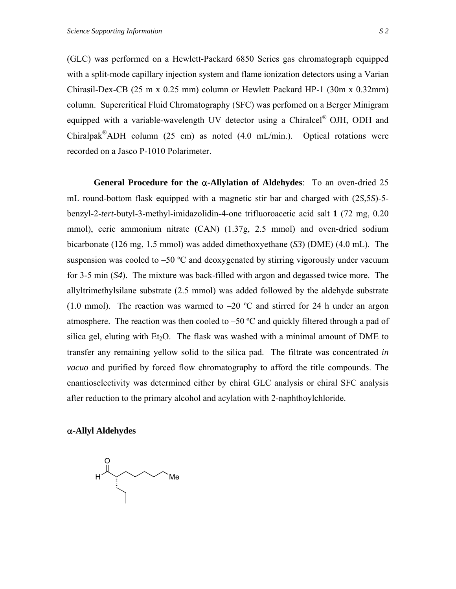(GLC) was performed on a Hewlett-Packard 6850 Series gas chromatograph equipped with a split-mode capillary injection system and flame ionization detectors using a Varian Chirasil-Dex-CB (25 m x 0.25 mm) column or Hewlett Packard HP-1 (30m x 0.32mm) column. Supercritical Fluid Chromatography (SFC) was perfomed on a Berger Minigram equipped with a variable-wavelength UV detector using a Chiralcel® OJH, ODH and Chiralpak<sup>®</sup>ADH column (25 cm) as noted (4.0 mL/min.). Optical rotations were recorded on a Jasco P-1010 Polarimeter.

**General Procedure for the** α**-Allylation of Aldehydes**: To an oven-dried 25 mL round-bottom flask equipped with a magnetic stir bar and charged with (2*S*,5*S*)-5 benzyl-2-*tert*-butyl-3-methyl-imidazolidin-4-one trifluoroacetic acid salt **1** (72 mg, 0.20 mmol), ceric ammonium nitrate (CAN) (1.37g, 2.5 mmol) and oven-dried sodium bicarbonate (126 mg, 1.5 mmol) was added dimethoxyethane (*S3*) (DME) (4.0 mL). The suspension was cooled to  $-50$  °C and deoxygenated by stirring vigorously under vacuum for 3-5 min (*S4*). The mixture was back-filled with argon and degassed twice more. The allyltrimethylsilane substrate (2.5 mmol) was added followed by the aldehyde substrate (1.0 mmol). The reaction was warmed to  $-20$  °C and stirred for 24 h under an argon atmosphere. The reaction was then cooled to  $-50$  °C and quickly filtered through a pad of silica gel, eluting with  $Et_2O$ . The flask was washed with a minimal amount of DME to transfer any remaining yellow solid to the silica pad. The filtrate was concentrated *in vacuo* and purified by forced flow chromatography to afford the title compounds. The enantioselectivity was determined either by chiral GLC analysis or chiral SFC analysis after reduction to the primary alcohol and acylation with 2-naphthoylchloride.

### α**-Allyl Aldehydes**

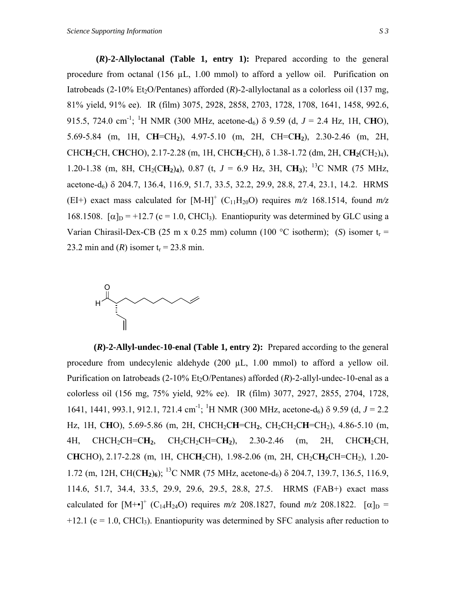**(***R***)-2-Allyloctanal (Table 1, entry 1):** Prepared according to the general procedure from octanal (156 µL, 1.00 mmol) to afford a yellow oil. Purification on Iatrobeads (2-10% Et<sub>2</sub>O/Pentanes) afforded  $(R)$ -2-allyloctanal as a colorless oil (137 mg, 81% yield, 91% ee). IR (film) 3075, 2928, 2858, 2703, 1728, 1708, 1641, 1458, 992.6, 915.5, 724.0 cm<sup>-1</sup>; <sup>1</sup>H NMR (300 MHz, acetone-d<sub>6</sub>)  $\delta$  9.59 (d, *J* = 2.4 Hz, 1H, CHO), 5.69-5.84 (m, 1H, C**H**=CH**2**), 4.97-5.10 (m, 2H, CH=C**H2**), 2.30-2.46 (m, 2H, CHC**H**2CH, C**H**CHO), 2.17-2.28 (m, 1H, CHC**H**2CH), δ 1.38-1.72 (dm, 2H, C**H2**(CH2)4), 1.20-1.38 (m, 8H, CH<sub>2</sub>(C**H**<sub>2</sub>)<sub>4</sub>), 0.87 (t,  $J = 6.9$  Hz, 3H, C**H**<sub>3</sub>); <sup>13</sup>C NMR (75 MHz, acetone-d6) δ 204.7, 136.4, 116.9, 51.7, 33.5, 32.2, 29.9, 28.8, 27.4, 23.1, 14.2. HRMS (EI+) exact mass calculated for  $[M-H]$ <sup>+</sup> (C<sub>11</sub>H<sub>20</sub>O) requires  $m/z$  168.1514, found  $m/z$ 168.1508.  $[\alpha]_D = +12.7$  (c = 1.0, CHCl<sub>3</sub>). Enantiopurity was determined by GLC using a Varian Chirasil-Dex-CB (25 m x 0.25 mm) column (100 °C isotherm); (*S*) isomer t<sub>r</sub> = 23.2 min and  $(R)$  isomer  $t_r = 23.8$  min.



**(***R***)-2-Allyl-undec-10-enal (Table 1, entry 2):** Prepared according to the general procedure from undecylenic aldehyde (200 µL, 1.00 mmol) to afford a yellow oil. Purification on Iatrobeads  $(2-10\% \text{ Et}_2O/Pentanes)$  afforded  $(R)$ -2-allyl-undec-10-enal as a colorless oil (156 mg, 75% yield, 92% ee). IR (film) 3077, 2927, 2855, 2704, 1728, 1641, 1441, 993.1, 912.1, 721.4 cm<sup>-1</sup>; <sup>1</sup>H NMR (300 MHz, acetone-d<sub>6</sub>) δ 9.59 (d, *J* = 2.2 Hz, 1H, C**H**O), 5.69-5.86 (m, 2H, CHCH2C**H**=CH**2**, CH2CH2C**H**=CH2), 4.86-5.10 (m, 4H, CHCH2CH=C**H2**, CH2CH2CH=C**H2**), 2.30-2.46 (m, 2H, CHC**H**2CH, C**H**CHO), 2.17-2.28 (m, 1H, CHC**H**2CH), 1.98-2.06 (m, 2H, CH2C**H2**CH=CH2), 1.20- 1.72 (m, 12H, CH(C**H2**)**6**); 13C NMR (75 MHz, acetone-d6) δ 204.7, 139.7, 136.5, 116.9, 114.6, 51.7, 34.4, 33.5, 29.9, 29.6, 29.5, 28.8, 27.5. HRMS (FAB+) exact mass calculated for  $[M^{+} \bullet]^{+}$  (C<sub>14</sub>H<sub>24</sub>O) requires  $m/z$  208.1827, found  $m/z$  208.1822. [ $\alpha$ ]<sub>D</sub> =  $+12.1$  (c = 1.0, CHCl<sub>3</sub>). Enantiopurity was determined by SFC analysis after reduction to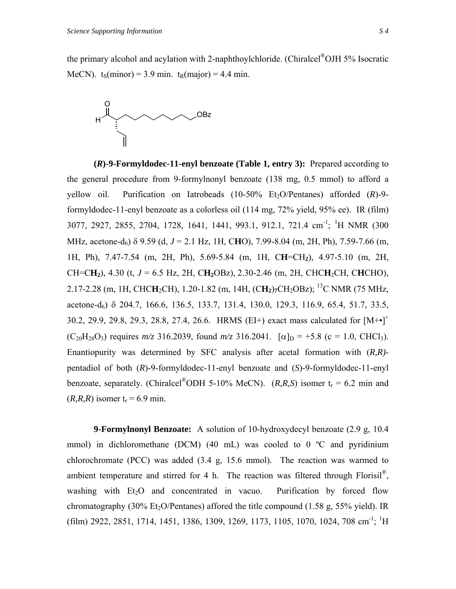the primary alcohol and acylation with 2-naphthoylchloride. (Chiralcel®OJH 5% Isocratic MeCN).  $t_s(minor) = 3.9 \text{ min. } t_R(maior) = 4.4 \text{ min.}$ 



**(***R***)-9-Formyldodec-11-enyl benzoate (Table 1, entry 3):** Prepared according to the general procedure from 9-formylnonyl benzoate (138 mg, 0.5 mmol) to afford a yellow oil. Purification on Iatrobeads (10-50% Et<sub>2</sub>O/Pentanes) afforded (*R*)-9formyldodec-11-enyl benzoate as a colorless oil (114 mg, 72% yield, 95% ee). IR (film) 3077, 2927, 2855, 2704, 1728, 1641, 1441, 993.1, 912.1, 721.4 cm-1; 1 H NMR (300 MHz, acetone-d<sub>6</sub>) δ 9.59 (d, *J* = 2.1 Hz, 1H, CHO), 7.99-8.04 (m, 2H, Ph), 7.59-7.66 (m, 1H, Ph), 7.47-7.54 (m, 2H, Ph), 5.69-5.84 (m, 1H, C**H**=CH**2**), 4.97-5.10 (m, 2H,  $CH=CH_2$ ), 4.30 (t,  $J = 6.5$  Hz, 2H,  $CH_2OBz$ ), 2.30-2.46 (m, 2H, CHC**H**<sub>2</sub>CH, C**H**CHO), 2.17-2.28 (m, 1H, CHC**H**<sub>2</sub>CH), 1.20-1.82 (m, 14H, (C**H**<sub>2</sub>)<sub>7</sub>CH<sub>2</sub>OBz); <sup>13</sup>C NMR (75 MHz, acetone-d6) δ 204.7, 166.6, 136.5, 133.7, 131.4, 130.0, 129.3, 116.9, 65.4, 51.7, 33.5, 30.2, 29.9, 29.8, 29.3, 28.8, 27.4, 26.6. HRMS (EI+) exact mass calculated for  $[M^{+} \bullet]^{+}$  $(C_{20}H_{28}O_3)$  requires  $m/z$  316.2039, found  $m/z$  316.2041.  $[\alpha]_D = +5.8$  (c = 1.0, CHCl<sub>3</sub>). Enantiopurity was determined by SFC analysis after acetal formation with (*R,R)* pentadiol of both (*R*)-9-formyldodec-11-enyl benzoate and (*S*)-9-formyldodec-11-enyl benzoate, separately. (Chiralcel<sup>®</sup>ODH 5-10% MeCN). (*R,R,S*) isomer  $t_r = 6.2$  min and  $(R, R, R)$  isomer  $t_r = 6.9$  min.

**9-Formylnonyl Benzoate:** A solution of 10-hydroxydecyl benzoate (2.9 g, 10.4 mmol) in dichloromethane (DCM) (40 mL) was cooled to 0  $\degree$ C and pyridinium chlorochromate (PCC) was added (3.4 g, 15.6 mmol). The reaction was warmed to ambient temperature and stirred for 4 h. The reaction was filtered through Florisil<sup>®</sup>, washing with  $Et_2O$  and concentrated in vacuo. Purification by forced flow chromatography (30% Et<sub>2</sub>O/Pentanes) affored the title compound (1.58 g, 55% yield). IR  $(ilim)$  2922, 2851, 1714, 1451, 1386, 1309, 1269, 1173, 1105, 1070, 1024, 708 cm<sup>-1</sup>; <sup>1</sup>H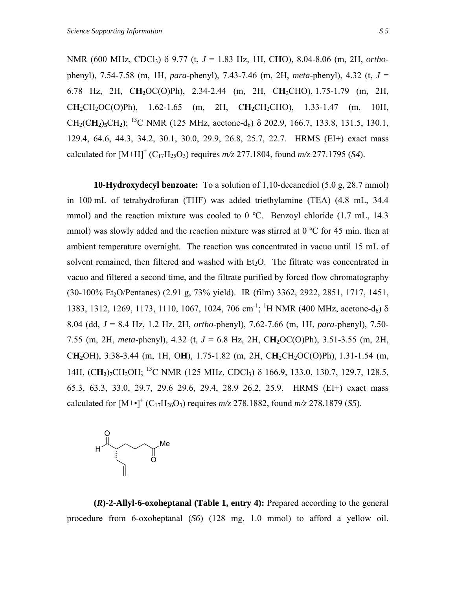NMR (600 MHz, CDCl3) δ 9.77 (t, *J* = 1.83 Hz, 1H, C**H**O), 8.04-8.06 (m, 2H, *ortho*phenyl), 7.54-7.58 (m, 1H, *para*-phenyl), 7.43-7.46 (m, 2H, *meta*-phenyl), 4.32 (t, *J* = 6.78 Hz, 2H, C**H2**OC(O)Ph), 2.34-2.44 (m, 2H, C**H**2CHO), 1.75-1.79 (m, 2H,  $CH_2CH_2OC(O)Ph$ , 1.62-1.65 (m, 2H,  $CH_2CH_2CHO$ ), 1.33-1.47 (m, 10H, CH<sub>2</sub>(CH<sub>2</sub>)<sub>5</sub>CH<sub>2</sub>); <sup>13</sup>C NMR (125 MHz, acetone-d<sub>6</sub>)  $\delta$  202.9, 166.7, 133.8, 131.5, 130.1, 129.4, 64.6, 44.3, 34.2, 30.1, 30.0, 29.9, 26.8, 25.7, 22.7. HRMS (EI+) exact mass calculated for  $[M+H]^+$  (C<sub>17</sub>H<sub>25</sub>O<sub>3</sub>) requires  $m/z$  277.1804, found  $m/z$  277.1795 (*S4*).

**10-Hydroxydecyl benzoate:** To a solution of 1,10-decanediol (5.0 g, 28.7 mmol) in 100 mL of tetrahydrofuran (THF) was added triethylamine (TEA) (4.8 mL, 34.4 mmol) and the reaction mixture was cooled to 0 °C. Benzoyl chloride (1.7 mL, 14.3 mmol) was slowly added and the reaction mixture was stirred at  $0^{\circ}$ C for 45 min. then at ambient temperature overnight. The reaction was concentrated in vacuo until 15 mL of solvent remained, then filtered and washed with  $Et<sub>2</sub>O$ . The filtrate was concentrated in vacuo and filtered a second time, and the filtrate purified by forced flow chromatography (30-100% Et<sub>2</sub>O/Pentanes) (2.91 g, 73% yield). IR (film) 3362, 2922, 2851, 1717, 1451, 1383, 1312, 1269, 1173, 1110, 1067, 1024, 706 cm<sup>-1</sup>; <sup>1</sup>H NMR (400 MHz, acetone-d<sub>6</sub>) δ 8.04 (dd, *J* = 8.4 Hz, 1.2 Hz, 2H, *ortho*-phenyl), 7.62-7.66 (m, 1H, *para*-phenyl), 7.50- 7.55 (m, 2H, *meta*-phenyl), 4.32 (t, *J* = 6.8 Hz, 2H, C**H2**OC(O)Ph), 3.51-3.55 (m, 2H, C**H2**OH), 3.38-3.44 (m, 1H, O**H**), 1.75-1.82 (m, 2H, C**H**2CH2OC(O)Ph), 1.31-1.54 (m, 14H, (CH<sub>2</sub>)<sub>7</sub>CH<sub>2</sub>OH; <sup>13</sup>C NMR (125 MHz, CDCl<sub>3</sub>) δ 166.9, 133.0, 130.7, 129.7, 128.5, 65.3, 63.3, 33.0, 29.7, 29.6 29.6, 29.4, 28.9 26.2, 25.9. HRMS (EI+) exact mass calculated for  $[M+•]$ <sup>+</sup> (C<sub>17</sub>H<sub>26</sub>O<sub>3</sub>) requires  $m/z$  278.1882, found  $m/z$  278.1879 (*S5*).



**(***R***)-2-Allyl-6-oxoheptanal (Table 1, entry 4):** Prepared according to the general procedure from 6-oxoheptanal (*S6*) (128 mg, 1.0 mmol) to afford a yellow oil.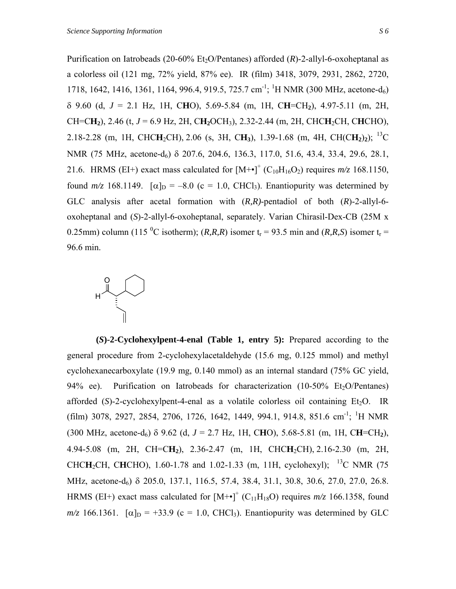Purification on Iatrobeads (20-60% Et<sub>2</sub>O/Pentanes) afforded (*R*)-2-allyl-6-oxoheptanal as a colorless oil (121 mg, 72% yield, 87% ee). IR (film) 3418, 3079, 2931, 2862, 2720, 1718, 1642, 1416, 1361, 1164, 996.4, 919.5, 725.7 cm<sup>-1</sup>; <sup>1</sup>H NMR (300 MHz, acetone-d<sub>6</sub>) δ 9.60 (d, *J* = 2.1 Hz, 1H, C**H**O), 5.69-5.84 (m, 1H, C**H**=CH**2**), 4.97-5.11 (m, 2H, CH=C**H2**), 2.46 (t, *J* = 6.9 Hz, 2H, C**H2**OCH3), 2.32-2.44 (m, 2H, CHC**H**2CH, C**H**CHO), 2.18-2.28 (m, 1H, CHC**H**2CH), 2.06 (s, 3H, C**H3**), 1.39-1.68 (m, 4H, CH(C**H2**)**2**); 13C NMR (75 MHz, acetone-d<sub>6</sub>) δ 207.6, 204.6, 136.3, 117.0, 51.6, 43.4, 33.4, 29.6, 28.1, 21.6. HRMS (EI+) exact mass calculated for  $[M+•]^+$  (C<sub>10</sub>H<sub>16</sub>O<sub>2</sub>) requires  $m/z$  168.1150, found  $m/z$  168.1149.  $\lceil \alpha \rceil_D = -8.0$  (c = 1.0, CHCl<sub>3</sub>). Enantiopurity was determined by GLC analysis after acetal formation with (*R,R)*-pentadiol of both (*R*)-2-allyl-6 oxoheptanal and (*S*)-2-allyl-6-oxoheptanal, separately. Varian Chirasil-Dex-CB (25M x 0.25mm) column (115<sup>o</sup>C isotherm); (*R,R,R*) isomer t<sub>r</sub> = 93.5 min and (*R,R,S*) isomer t<sub>r</sub> = 96.6 min.



**(***S***)-2-Cyclohexylpent-4-enal (Table 1, entry 5):** Prepared according to the general procedure from 2-cyclohexylacetaldehyde (15.6 mg, 0.125 mmol) and methyl cyclohexanecarboxylate (19.9 mg, 0.140 mmol) as an internal standard (75% GC yield, 94% ee). Purification on Iatrobeads for characterization  $(10-50\% \text{ Et}_2\text{O}/\text{Pentanes})$ afforded  $(S)$ -2-cyclohexylpent-4-enal as a volatile colorless oil containing Et<sub>2</sub>O. IR  $(film)$  3078, 2927, 2854, 2706, 1726, 1642, 1449, 994.1, 914.8, 851.6 cm<sup>-1</sup>; <sup>1</sup>H NMR (300 MHz, acetone-d<sub>6</sub>)  $\delta$  9.62 (d, *J* = 2.7 Hz, 1H, CHO), 5.68-5.81 (m, 1H, CH=CH<sub>2</sub>), 4.94-5.08 (m, 2H, CH=C**H2**), 2.36-2.47 (m, 1H, CHC**H**2CH), 2.16-2.30 (m, 2H, CHCH<sub>2</sub>CH, CHCHO), 1.60-1.78 and 1.02-1.33 (m, 11H, cyclohexyl); <sup>13</sup>C NMR (75 MHz, acetone-d<sub>6</sub>) δ 205.0, 137.1, 116.5, 57.4, 38.4, 31.1, 30.8, 30.6, 27.0, 27.0, 26.8. HRMS (EI+) exact mass calculated for  $[M+•]$ <sup>+</sup> (C<sub>11</sub>H<sub>18</sub>O) requires  $m/z$  166.1358, found  $m/z$  166.1361.  $\alpha|_D = +33.9$  (c = 1.0, CHCl<sub>3</sub>). Enantiopurity was determined by GLC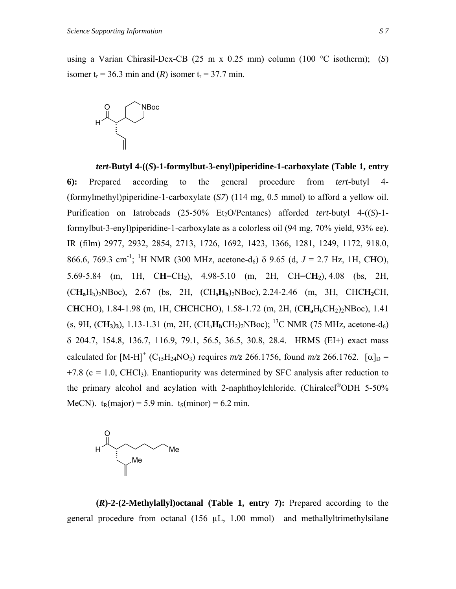using a Varian Chirasil-Dex-CB (25 m x 0.25 mm) column (100 °C isotherm); (*S*) isomer  $t_r = 36.3$  min and  $(R)$  isomer  $t_r = 37.7$  min.



*tert***-Butyl 4-((***S***)-1-formylbut-3-enyl)piperidine-1-carboxylate (Table 1, entry 6):** Prepared according to the general procedure from *tert*-butyl 4- (formylmethyl)piperidine-1-carboxylate (*S7*) (114 mg, 0.5 mmol) to afford a yellow oil. Purification on Iatrobeads (25-50% Et<sub>2</sub>O/Pentanes) afforded *tert*-butyl 4-((*S*)-1formylbut-3-enyl)piperidine-1-carboxylate as a colorless oil (94 mg, 70% yield, 93% ee). IR (film) 2977, 2932, 2854, 2713, 1726, 1692, 1423, 1366, 1281, 1249, 1172, 918.0, 866.6, 769.3 cm<sup>-1</sup>; <sup>1</sup>H NMR (300 MHz, acetone-d<sub>6</sub>) δ 9.65 (d, *J* = 2.7 Hz, 1H, CHO), 5.69-5.84 (m, 1H, C**H**=CH**2**), 4.98-5.10 (m, 2H, CH=C**H2**), 4.08 (bs, 2H, (C**Ha**Hb)2NBoc), 2.67 (bs, 2H, (CHa**Hb**)2NBoc), 2.24-2.46 (m, 3H, CHC**H2**CH, C**H**CHO), 1.84-1.98 (m, 1H, C**H**CHCHO), 1.58-1.72 (m, 2H, (C**Ha**HbCH2)2NBoc), 1.41 (s, 9H,  $(CH_3)$ <sub>3</sub>), 1.13-1.31 (m, 2H,  $(CH_3H_bCH_2)$ <sub>2</sub>NBoc); <sup>13</sup>C NMR (75 MHz, acetone-d<sub>6</sub>) δ 204.7, 154.8, 136.7, 116.9, 79.1, 56.5, 36.5, 30.8, 28.4. HRMS (EI+) exact mass calculated for  $[M-H]^{+}$  (C<sub>15</sub>H<sub>24</sub>NO<sub>3</sub>) requires  $m/z$  266.1756, found  $m/z$  266.1762. [ $\alpha$ ]<sub>D</sub> =  $+7.8$  (c = 1.0, CHCl<sub>3</sub>). Enantiopurity was determined by SFC analysis after reduction to the primary alcohol and acylation with 2-naphthoylchloride. (Chiralcel®ODH 5-50% MeCN).  $t_R(major) = 5.9 \text{ min. } t_S(minor) = 6.2 \text{ min.}$ 



 **(***R***)-2-(2-Methylallyl)octanal (Table 1, entry 7):** Prepared according to the general procedure from octanal (156 µL, 1.00 mmol) and methallyltrimethylsilane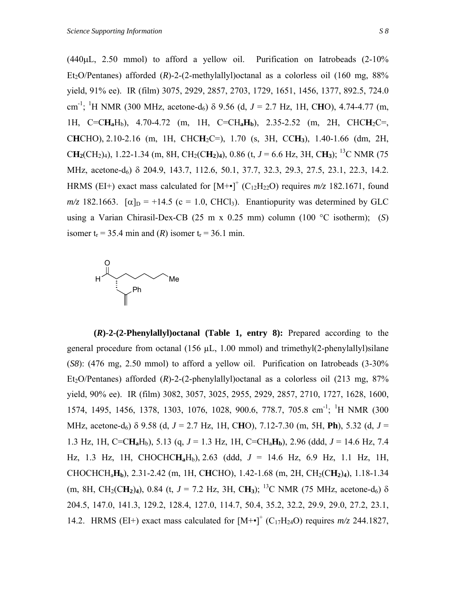$(440\mu L, 2.50 \text{ mmol})$  to afford a yellow oil. Purification on Iatrobeads  $(2-10\%$ Et<sub>2</sub>O/Pentanes) afforded  $(R)$ -2- $(2$ -methylallyl)octanal as a colorless oil  $(160 \text{ mg}, 88\%)$ yield, 91% ee). IR (film) 3075, 2929, 2857, 2703, 1729, 1651, 1456, 1377, 892.5, 724.0 cm<sup>-1</sup>; <sup>1</sup>H NMR (300 MHz, acetone-d<sub>6</sub>)  $\delta$  9.56 (d, *J* = 2.7 Hz, 1H, CHO), 4.74-4.77 (m, 1H, C=C**Ha**Hb), 4.70-4.72 (m, 1H, C=CH**aHb**), 2.35-2.52 (m, 2H, CHC**H**2C=, C**H**CHO), 2.10-2.16 (m, 1H, CHC**H**2C=), 1.70 (s, 3H, CC**H3**), 1.40-1.66 (dm, 2H,  $CH_2(CH_2)_4$ ), 1.22-1.34 (m, 8H, CH<sub>2</sub>(C**H**<sub>2</sub>)<sub>4</sub>), 0.86 (t, *J* = 6.6 Hz, 3H, C**H**<sub>3</sub>); <sup>13</sup>C NMR (75) MHz, acetone-d<sub>6</sub>) δ 204.9, 143.7, 112.6, 50.1, 37.7, 32.3, 29.3, 27.5, 23.1, 22.3, 14.2. HRMS (EI+) exact mass calculated for  $[M+•]$ <sup>+</sup> (C<sub>12</sub>H<sub>22</sub>O) requires  $m/z$  182.1671, found  $m/z$  182.1663.  $[\alpha]_D = +14.5$  (c = 1.0, CHCl<sub>3</sub>). Enantiopurity was determined by GLC using a Varian Chirasil-Dex-CB (25 m x 0.25 mm) column (100 °C isotherm); (*S*) isomer  $t_r = 35.4$  min and  $(R)$  isomer  $t_r = 36.1$  min.



**(***R***)-2-(2-Phenylallyl)octanal (Table 1, entry 8):** Prepared according to the general procedure from octanal  $(156 \mu L, 1.00 \text{ mmol})$  and trimethyl $(2$ -phenylallyl)silane (*S8*): (476 mg, 2.50 mmol) to afford a yellow oil. Purification on Iatrobeads (3-30% Et<sub>2</sub>O/Pentanes) afforded  $(R)$ -2- $(2$ -phenylallyl)octanal as a colorless oil  $(213 \text{ mg}, 87\%$ yield, 90% ee). IR (film) 3082, 3057, 3025, 2955, 2929, 2857, 2710, 1727, 1628, 1600, 1574, 1495, 1456, 1378, 1303, 1076, 1028, 900.6, 778.7, 705.8 cm<sup>-1</sup>; <sup>1</sup>H NMR (300 MHz, acetone-d6) δ 9.58 (d, *J* = 2.7 Hz, 1H, C**H**O), 7.12-7.30 (m, 5H, **Ph**), 5.32 (d, *J* = 1.3 Hz, 1H, C=C**Ha**Hb), 5.13 (q, *J* = 1.3 Hz, 1H, C=CHa**Hb**), 2.96 (ddd, *J* = 14.6 Hz, 7.4 Hz, 1.3 Hz, 1H, CHOCHC**Ha**Hb), 2.63 (ddd, *J* = 14.6 Hz, 6.9 Hz, 1.1 Hz, 1H, CHOCHCHa**Hb**), 2.31-2.42 (m, 1H, C**H**CHO), 1.42-1.68 (m, 2H, CH2(C**H2**)**4**), 1.18-1.34 (m, 8H, CH<sub>2</sub>(C**H**<sub>2</sub>)<sub>4</sub>), 0.84 (t, *J* = 7.2 Hz, 3H, C**H**<sub>3</sub>); <sup>13</sup>C NMR (75 MHz, acetone-d<sub>6</sub>)  $\delta$ 204.5, 147.0, 141.3, 129.2, 128.4, 127.0, 114.7, 50.4, 35.2, 32.2, 29.9, 29.0, 27.2, 23.1, 14.2. HRMS (EI+) exact mass calculated for  $[M+•]$ <sup>+</sup> (C<sub>17</sub>H<sub>24</sub>O) requires  $m/z$  244.1827,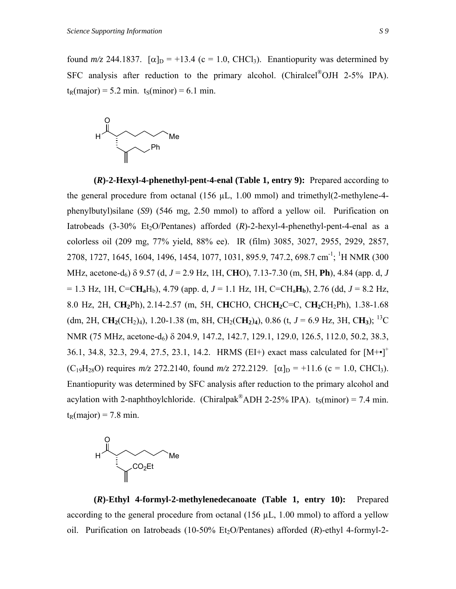found  $m/z$  244.1837.  $\lceil \alpha \rceil_D = +13.4$  (c = 1.0, CHCl<sub>3</sub>). Enantiopurity was determined by SFC analysis after reduction to the primary alcohol. (Chiralcel®OJH 2-5% IPA).  $t_R(major) = 5.2$  min.  $t_S(minor) = 6.1$  min.



**(***R***)-2-Hexyl-4-phenethyl-pent-4-enal (Table 1, entry 9):** Prepared according to the general procedure from octanal (156 µL, 1.00 mmol) and trimethyl(2-methylene-4 phenylbutyl)silane (*S9*) (546 mg, 2.50 mmol) to afford a yellow oil. Purification on Iatrobeads  $(3-30\%$  Et<sub>2</sub>O/Pentanes) afforded  $(R)$ -2-hexyl-4-phenethyl-pent-4-enal as a colorless oil (209 mg, 77% yield, 88% ee). IR (film) 3085, 3027, 2955, 2929, 2857, 2708, 1727, 1645, 1604, 1496, 1454, 1077, 1031, 895.9, 747.2, 698.7 cm<sup>-1</sup>; <sup>1</sup>H NMR (300 MHz, acetone-d6) δ 9.57 (d, *J* = 2.9 Hz, 1H, C**H**O), 7.13-7.30 (m, 5H, **Ph**), 4.84 (app. d, *J*  $= 1.3$  Hz, 1H, C=CH<sub>a</sub>H<sub>b</sub>), 4.79 (app. d,  $J = 1.1$  Hz, 1H, C=CH<sub>a</sub>H<sub>b</sub>), 2.76 (dd,  $J = 8.2$  Hz, 8.0 Hz, 2H, C**H2**Ph), 2.14-2.57 (m, 5H, C**H**CHO, CHC**H2**C=C, C**H2**CH2Ph), 1.38-1.68 (dm, 2H, CH<sub>2</sub>(CH<sub>2</sub>)<sub>4</sub>), 1.20-1.38 (m, 8H, CH<sub>2</sub>(CH<sub>2</sub>)<sub>4</sub>), 0.86 (t, *J* = 6.9 Hz, 3H, CH<sub>3</sub>); <sup>13</sup>C NMR (75 MHz, acetone-d<sub>6</sub>) δ 204.9, 147.2, 142.7, 129.1, 129.0, 126.5, 112.0, 50.2, 38.3, 36.1, 34.8, 32.3, 29.4, 27.5, 23.1, 14.2. HRMS (EI+) exact mass calculated for  $[M^{+}\bullet]^{+}$  $(C_{19}H_{28}O)$  requires  $m/z$  272.2140, found  $m/z$  272.2129.  $[\alpha]_D = +11.6$  (c = 1.0, CHCl<sub>3</sub>). Enantiopurity was determined by SFC analysis after reduction to the primary alcohol and acylation with 2-naphthoylchloride. (Chiralpak<sup>®</sup>ADH 2-25% IPA). t<sub>S</sub>(minor) = 7.4 min.  $t_R(major) = 7.8 \text{ min.}$ 



**(***R***)-Ethyl 4-formyl-2-methylenedecanoate (Table 1, entry 10):** Prepared according to the general procedure from octanal  $(156 \mu L, 1.00 \text{ mmol})$  to afford a yellow oil. Purification on Iatrobeads (10-50% Et2O/Pentanes) afforded (*R*)-ethyl 4-formyl-2-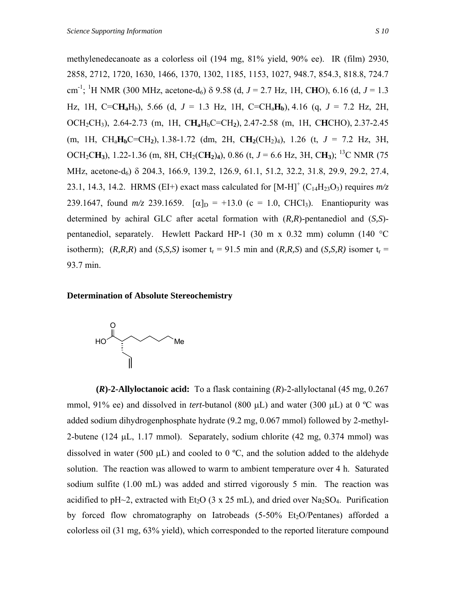methylenedecanoate as a colorless oil (194 mg, 81% yield, 90% ee). IR (film) 2930, 2858, 2712, 1720, 1630, 1466, 1370, 1302, 1185, 1153, 1027, 948.7, 854.3, 818.8, 724.7 cm -1; 1 H NMR (300 MHz, acetone-d6) δ 9.58 (d, *J* = 2.7 Hz, 1H, C**H**O), 6.16 (d, *J* = 1.3 Hz, 1H, C=CH<sub>a</sub>H<sub>b</sub>), 5.66 (d,  $J = 1.3$  Hz, 1H, C=CH<sub>a</sub>H<sub>b</sub>), 4.16 (q,  $J = 7.2$  Hz, 2H, OCH2CH3), 2.64-2.73 (m, 1H, C**Ha**HbC=CH**2**), 2.47-2.58 (m, 1H, C**H**CHO), 2.37-2.45 (m, 1H, CHa**Hb**C=CH**2**), 1.38-1.72 (dm, 2H, C**H2**(CH2)4), 1.26 (t, *J* = 7.2 Hz, 3H, OCH<sub>2</sub>CH<sub>3</sub>), 1.22-1.36 (m, 8H, CH<sub>2</sub>(CH<sub>2</sub>)<sub>4</sub>), 0.86 (t,  $J = 6.6$  Hz, 3H, CH<sub>3</sub>); <sup>13</sup>C NMR (75) MHz, acetone-d<sub>6</sub>) δ 204.3, 166.9, 139.2, 126.9, 61.1, 51.2, 32.2, 31.8, 29.9, 29.2, 27.4, 23.1, 14.3, 14.2. HRMS (EI+) exact mass calculated for  $[M-H]^{+}$  (C<sub>14</sub>H<sub>23</sub>O<sub>3</sub>) requires  $m/z$ 239.1647, found  $m/z$  239.1659.  $\lceil \alpha \rceil_D = +13.0$  (c = 1.0, CHCl<sub>3</sub>). Enantiopurity was determined by achiral GLC after acetal formation with (*R,R*)-pentanediol and (*S,S*) pentanediol, separately. Hewlett Packard HP-1 (30 m x 0.32 mm) column (140 °C isotherm);  $(R, R, R)$  and  $(S, S, S)$  isomer  $t_r = 91.5$  min and  $(R, R, S)$  and  $(S, S, R)$  isomer  $t_r =$ 93.7 min.

### **Determination of Absolute Stereochemistry**



 **(***R***)-2-Allyloctanoic acid:** To a flask containing (*R*)-2-allyloctanal (45 mg, 0.267 mmol, 91% ee) and dissolved in *tert*-butanol (800 µL) and water (300 µL) at 0 °C was added sodium dihydrogenphosphate hydrate (9.2 mg, 0.067 mmol) followed by 2-methyl-2-butene (124  $\mu$ L, 1.17 mmol). Separately, sodium chlorite (42 mg, 0.374 mmol) was dissolved in water (500  $\mu$ L) and cooled to 0 °C, and the solution added to the aldehyde solution. The reaction was allowed to warm to ambient temperature over 4 h. Saturated sodium sulfite (1.00 mL) was added and stirred vigorously 5 min. The reaction was acidified to pH~2, extracted with Et<sub>2</sub>O (3 x 25 mL), and dried over Na<sub>2</sub>SO<sub>4</sub>. Purification by forced flow chromatography on Iatrobeads  $(5-50\% \text{ Et}_2\text{O}/\text{Pentanes})$  afforded a colorless oil (31 mg, 63% yield), which corresponded to the reported literature compound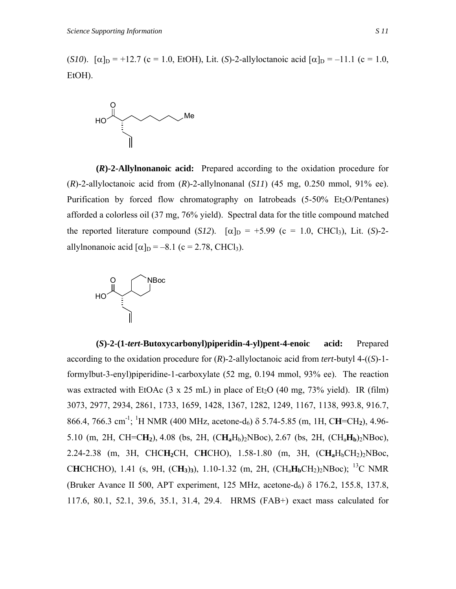(*S10*).  $[\alpha]_D = +12.7$  (c = 1.0, EtOH), Lit. (*S*)-2-allyloctanoic acid  $[\alpha]_D = -11.1$  (c = 1.0, EtOH).



 **(***R***)-2-Allylnonanoic acid:** Prepared according to the oxidation procedure for (*R*)-2-allyloctanoic acid from (*R*)-2-allylnonanal (*S11*) (45 mg, 0.250 mmol, 91% ee). Purification by forced flow chromatography on Iatrobeads  $(5-50\% \text{ Et}_2\text{O}/\text{Pentanes})$ afforded a colorless oil (37 mg, 76% yield). Spectral data for the title compound matched the reported literature compound (*S12*).  $\lceil \alpha \rceil_D = +5.99$  (c = 1.0, CHCl<sub>3</sub>), Lit. (*S*)-2allylnonanoic acid  $\lceil \alpha \rceil_D = -8.1$  (c = 2.78, CHCl<sub>3</sub>).



 **(***S***)-2-(1-***tert***-Butoxycarbonyl)piperidin-4-yl)pent-4-enoic acid:** Prepared according to the oxidation procedure for (*R*)-2-allyloctanoic acid from *tert*-butyl 4-((*S*)-1 formylbut-3-enyl)piperidine-1-carboxylate (52 mg, 0.194 mmol, 93% ee). The reaction was extracted with EtOAc  $(3 \times 25 \text{ mL})$  in place of Et<sub>2</sub>O  $(40 \text{ mg}, 73\% \text{ yield})$ . IR (film) 3073, 2977, 2934, 2861, 1733, 1659, 1428, 1367, 1282, 1249, 1167, 1138, 993.8, 916.7, 866.4, 766.3 cm-1; 1 H NMR (400 MHz, acetone-d6) δ 5.74-5.85 (m, 1H, C**H**=CH**2**), 4.96- 5.10 (m, 2H, CH=C $H_2$ ), 4.08 (bs, 2H, (C $H_aH_b$ )<sub>2</sub>NBoc), 2.67 (bs, 2H, (C $H_aH_b$ )<sub>2</sub>NBoc), 2.24-2.38 (m, 3H, CHC**H**<sub>2</sub>CH, CHCHO), 1.58-1.80 (m, 3H, (CH<sub>a</sub>H<sub>b</sub>CH<sub>2</sub>)<sub>2</sub>NBoc, C**H**CHCHO), 1.41 (s, 9H, (C**H3**)**3**), 1.10-1.32 (m, 2H, (CHa**Hb**CH2)2NBoc); 13C NMR (Bruker Avance II 500, APT experiment, 125 MHz, acetone-d<sub>6</sub>)  $\delta$  176.2, 155.8, 137.8, 117.6, 80.1, 52.1, 39.6, 35.1, 31.4, 29.4. HRMS (FAB+) exact mass calculated for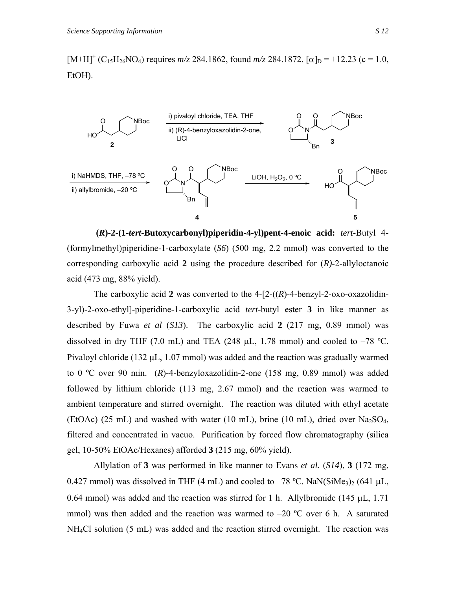$[M+H]^{+}$  (C<sub>15</sub>H<sub>26</sub>NO<sub>4</sub>) requires  $m/z$  284.1862, found  $m/z$  284.1872. [ $\alpha$ ]<sub>D</sub> = +12.23 (c = 1.0, EtOH).



 **(***R***)-2-(1-***tert***-Butoxycarbonyl)piperidin-4-yl)pent-4-enoic acid:** *tert*-Butyl 4- (formylmethyl)piperidine-1-carboxylate (*S6*) (500 mg, 2.2 mmol) was converted to the corresponding carboxylic acid **2** using the procedure described for (*R)*-2-allyloctanoic acid (473 mg, 88% yield).

The carboxylic acid **2** was converted to the 4-[2-((*R*)-4-benzyl-2-oxo-oxazolidin-3-yl)-2-oxo-ethyl]-piperidine-1-carboxylic acid *tert*-butyl ester **3** in like manner as described by Fuwa *et al* (*S13*). The carboxylic acid **2** (217 mg, 0.89 mmol) was dissolved in dry THF (7.0 mL) and TEA (248  $\mu$ L, 1.78 mmol) and cooled to -78 °C. Pivaloyl chloride (132 µL, 1.07 mmol) was added and the reaction was gradually warmed to 0 ºC over 90 min. (*R*)-4-benzyloxazolidin-2-one (158 mg, 0.89 mmol) was added followed by lithium chloride (113 mg, 2.67 mmol) and the reaction was warmed to ambient temperature and stirred overnight. The reaction was diluted with ethyl acetate (EtOAc) (25 mL) and washed with water (10 mL), brine (10 mL), dried over  $Na<sub>2</sub>SO<sub>4</sub>$ , filtered and concentrated in vacuo. Purification by forced flow chromatography (silica gel, 10-50% EtOAc/Hexanes) afforded **3** (215 mg, 60% yield).

Allylation of **3** was performed in like manner to Evans *et al.* (*S14*), **3** (172 mg, 0.427 mmol) was dissolved in THF (4 mL) and cooled to  $-78$  °C. NaN(SiMe<sub>3</sub>)<sub>2</sub> (641 µL, 0.64 mmol) was added and the reaction was stirred for 1 h. Allylbromide (145  $\mu$ L, 1.71) mmol) was then added and the reaction was warmed to  $-20$  °C over 6 h. A saturated NH4Cl solution (5 mL) was added and the reaction stirred overnight. The reaction was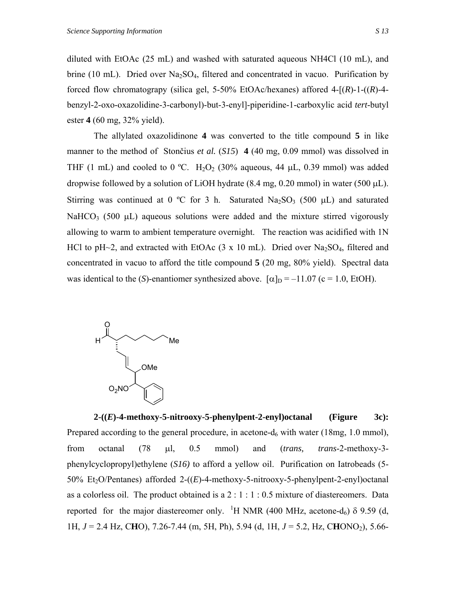diluted with EtOAc (25 mL) and washed with saturated aqueous NH4Cl (10 mL), and brine (10 mL). Dried over  $Na<sub>2</sub>SO<sub>4</sub>$ , filtered and concentrated in vacuo. Purification by forced flow chromatograpy (silica gel, 5-50% EtOAc/hexanes) affored 4-[(*R*)-1-((*R*)-4 benzyl-2-oxo-oxazolidine-3-carbonyl)-but-3-enyl]-piperidine-1-carboxylic acid *tert*-butyl ester **4** (60 mg, 32% yield).

The allylated oxazolidinone **4** was converted to the title compound **5** in like manner to the method of Stončius *et al.* (*S15*) **4** (40 mg, 0.09 mmol) was dissolved in THF (1 mL) and cooled to 0 °C.  $H_2O_2$  (30% aqueous, 44  $\mu$ L, 0.39 mmol) was added dropwise followed by a solution of LiOH hydrate  $(8.4 \text{ mg}, 0.20 \text{ mmol})$  in water  $(500 \mu L)$ . Stirring was continued at 0 °C for 3 h. Saturated Na<sub>2</sub>SO<sub>3</sub> (500  $\mu$ L) and saturated NaHCO<sub>3</sub> (500  $\mu$ L) aqueous solutions were added and the mixture stirred vigorously allowing to warm to ambient temperature overnight. The reaction was acidified with 1N HCl to pH $\sim$ 2, and extracted with EtOAc (3 x 10 mL). Dried over Na<sub>2</sub>SO<sub>4</sub>, filtered and concentrated in vacuo to afford the title compound **5** (20 mg, 80% yield). Spectral data was identical to the (*S*)-enantiomer synthesized above.  $[\alpha]_D = -11.07$  (c = 1.0, EtOH).



**2-((***E***)-4-methoxy-5-nitrooxy-5-phenylpent-2-enyl)octanal (Figure 3c):** Prepared according to the general procedure, in acetone- $d_6$  with water (18mg, 1.0 mmol), from octanal (78 µl, 0.5 mmol) and (*trans, trans*-2-methoxy-3 phenylcyclopropyl)ethylene (*S16)* to afford a yellow oil. Purification on Iatrobeads (5- 50% Et<sub>2</sub>O/Pentanes) afforded 2-((*E*)-4-methoxy-5-nitrooxy-5-phenylpent-2-enyl)octanal as a colorless oil. The product obtained is a  $2:1:1:0.5$  mixture of diastereomers. Data reported for the major diastereomer only. <sup>1</sup>H NMR (400 MHz, acetone-d<sub>6</sub>)  $\delta$  9.59 (d, 1H, *J* = 2.4 Hz, C**H**O), 7.26-7.44 (m, 5H, Ph), 5.94 (d, 1H, *J* = 5.2, Hz, C**H**ONO2), 5.66-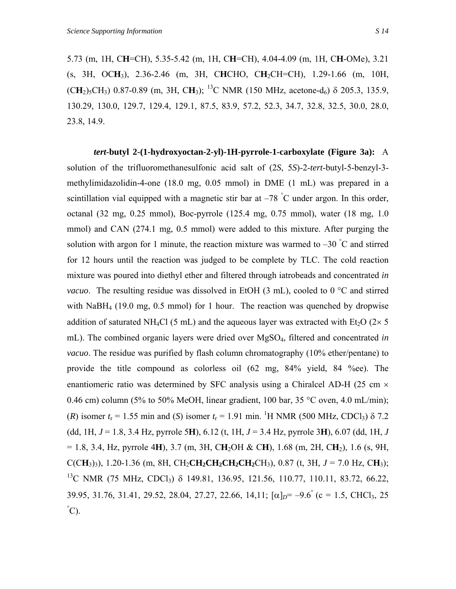5.73 (m, 1H, C**H**=CH), 5.35-5.42 (m, 1H, C**H**=CH), 4.04-4.09 (m, 1H, C**H**-OMe), 3.21 (s, 3H, OC**H**3), 2.36-2.46 (m, 3H, C**H**CHO, C**H**2CH=CH), 1.29-1.66 (m, 10H,  $(CH_2)_{5}CH_3$ ) 0.87-0.89 (m, 3H, CH<sub>3</sub>); <sup>13</sup>C NMR (150 MHz, acetone-d<sub>6</sub>) δ 205.3, 135.9, 130.29, 130.0, 129.7, 129.4, 129.1, 87.5, 83.9, 57.2, 52.3, 34.7, 32.8, 32.5, 30.0, 28.0, 23.8, 14.9.

*tert***-butyl 2-(1-hydroxyoctan-2-yl)-1H-pyrrole-1-carboxylate (Figure 3a):** A solution of the trifluoromethanesulfonic acid salt of (2*S*, 5*S*)-2-*tert*-butyl-5-benzyl-3 methylimidazolidin-4-one (18.0 mg, 0.05 mmol) in DME (1 mL) was prepared in a scintillation vial equipped with a magnetic stir bar at  $-78$  °C under argon. In this order, octanal (32 mg, 0.25 mmol), Boc-pyrrole (125.4 mg, 0.75 mmol), water (18 mg, 1.0 mmol) and CAN (274.1 mg, 0.5 mmol) were added to this mixture. After purging the solution with argon for 1 minute, the reaction mixture was warmed to  $-30^{\circ}$ C and stirred for 12 hours until the reaction was judged to be complete by TLC. The cold reaction mixture was poured into diethyl ether and filtered through iatrobeads and concentrated *in vacuo*. The resulting residue was dissolved in EtOH (3 mL), cooled to 0 °C and stirred with NaBH<sub>4</sub> (19.0 mg, 0.5 mmol) for 1 hour. The reaction was quenched by dropwise addition of saturated NH<sub>4</sub>Cl (5 mL) and the aqueous layer was extracted with Et<sub>2</sub>O ( $2 \times 5$ ) mL). The combined organic layers were dried over MgSO4, filtered and concentrated *in vacuo*. The residue was purified by flash column chromatography (10% ether/pentane) to provide the title compound as colorless oil (62 mg, 84% yield, 84 %ee). The enantiomeric ratio was determined by SFC analysis using a Chiralcel AD-H (25 cm  $\times$ 0.46 cm) column (5% to 50% MeOH, linear gradient, 100 bar, 35 °C oven, 4.0 mL/min); (*R*) isomer  $t_r = 1.55$  min and (*S*) isomer  $t_r = 1.91$  min. <sup>1</sup>H NMR (500 MHz, CDCl<sub>3</sub>)  $\delta$  7.2 (dd, 1H, *J* = 1.8, 3.4 Hz, pyrrole 5**H**), 6.12 (t, 1H, *J* = 3.4 Hz, pyrrole 3**H**), 6.07 (dd, 1H, *J*  $= 1.8$ , 3.4, Hz, pyrrole 4H), 3.7 (m, 3H, CH<sub>2</sub>OH & CH), 1.68 (m, 2H, CH<sub>2</sub>), 1.6 (s, 9H, C(CH<sub>3</sub>)<sub>3</sub>), 1.20-1.36 (m, 8H, CH<sub>2</sub>CH<sub>2</sub>CH<sub>2</sub>CH<sub>2</sub>CH<sub>2</sub>CH<sub>3</sub>), 0.87 (t, 3H,  $J = 7.0$  Hz, CH<sub>3</sub>); <sup>13</sup>C NMR (75 MHz, CDCl<sub>3</sub>) δ 149.81, 136.95, 121.56, 110.77, 110.11, 83.72, 66.22, 39.95, 31.76, 31.41, 29.52, 28.04, 27.27, 22.66, 14,11;  $[\alpha]_D = -9.6^{\circ}$  (c = 1.5, CHCl<sub>3</sub>, 25)  $\degree$ C).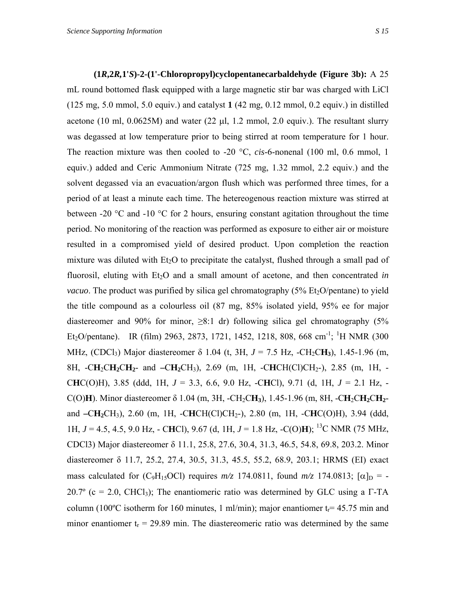## **(1***R***,2***R,***1'***S***)-2-(1'-Chloropropyl)cyclopentanecarbaldehyde (Figure 3b):** A 25 mL round bottomed flask equipped with a large magnetic stir bar was charged with LiCl (125 mg, 5.0 mmol, 5.0 equiv.) and catalyst **1** (42 mg, 0.12 mmol, 0.2 equiv.) in distilled acetone (10 ml, 0.0625M) and water (22 µl, 1.2 mmol, 2.0 equiv.). The resultant slurry was degassed at low temperature prior to being stirred at room temperature for 1 hour. The reaction mixture was then cooled to -20 °C, *cis*-6-nonenal (100 ml, 0.6 mmol, 1 equiv.) added and Ceric Ammonium Nitrate (725 mg, 1.32 mmol, 2.2 equiv.) and the solvent degassed via an evacuation/argon flush which was performed three times, for a period of at least a minute each time. The hetereogenous reaction mixture was stirred at between -20  $\degree$ C and -10  $\degree$ C for 2 hours, ensuring constant agitation throughout the time period. No monitoring of the reaction was performed as exposure to either air or moisture resulted in a compromised yield of desired product. Upon completion the reaction mixture was diluted with  $Et_2O$  to precipitate the catalyst, flushed through a small pad of fluorosil, eluting with  $Et<sub>2</sub>O$  and a small amount of acetone, and then concentrated *in vacuo*. The product was purified by silica gel chromatography (5% Et<sub>2</sub>O/pentane) to yield the title compound as a colourless oil (87 mg, 85% isolated yield, 95% ee for major diastereomer and 90% for minor,  $>8.1$  dr) following silica gel chromatography (5% Et<sub>2</sub>O/pentane). IR (film) 2963, 2873, 1721, 1452, 1218, 808, 668 cm<sup>-1</sup>; <sup>1</sup>H NMR (300 MHz,  $(CDCI_3)$  Major diastereomer  $\delta$  1.04 (t, 3H,  $J = 7.5$  Hz,  $-CH_2CH_3$ ), 1.45-1.96 (m, 8H, -C**H**2C**H2**C**H2**- and **–**C**H2**CH3), 2.69 (m, 1H, -C**H**CH(Cl)CH2-), 2.85 (m, 1H, - C**H**C(O)H), 3.85 (ddd, 1H, *J* = 3.3, 6.6, 9.0 Hz, -C**H**Cl), 9.71 (d, 1H, *J* = 2.1 Hz, - C(O)**H**). Minor diastereomer δ 1.04 (m, 3H, -CH2C**H3**), 1.45-1.96 (m, 8H, -C**H**2C**H2**C**H2** and **–**C**H2**CH3), 2.60 (m, 1H, -C**H**CH(Cl)CH2-), 2.80 (m, 1H, -C**H**C(O)H), 3.94 (ddd, 1H, *J* = 4.5, 4.5, 9.0 Hz, - C**H**Cl), 9.67 (d, 1H, *J* = 1.8 Hz, -C(O)**H**); 13C NMR (75 MHz, CDCl3) Major diastereomer δ 11.1, 25.8, 27.6, 30.4, 31.3, 46.5, 54.8, 69.8, 203.2. Minor diastereomer δ 11.7, 25.2, 27.4, 30.5, 31.3, 45.5, 55.2, 68.9, 203.1; HRMS (EI) exact mass calculated for (C<sub>9</sub>H<sub>15</sub>OCl) requires  $m/z$  174.0811, found  $m/z$  174.0813;  $[\alpha]_D$  = -20.7° (c = 2.0, CHCl<sub>3</sub>); The enantiomeric ratio was determined by GLC using a  $\Gamma$ -TA column (100 $^{\circ}$ C isotherm for 160 minutes, 1 ml/min); major enantiomer t= 45.75 min and minor enantiomer  $t_r = 29.89$  min. The diastereomeric ratio was determined by the same